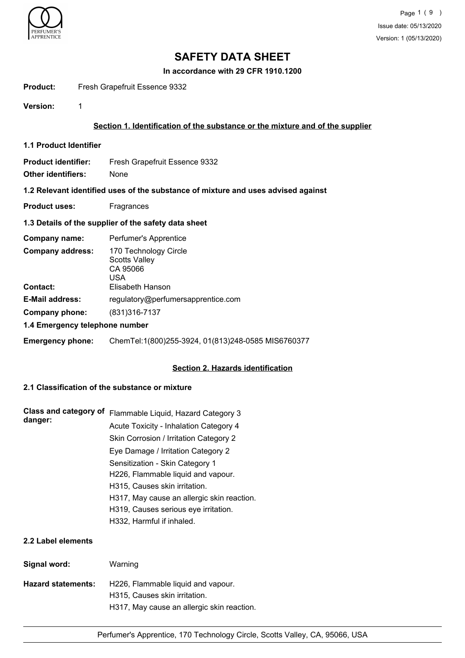

**In accordance with 29 CFR 1910.1200**

## Product: Fresh Grapefruit Essence 9332

**Version:** 1

## **Section 1. Identification of the substance or the mixture and of the supplier**

- **1.1 Product Identifier**
- **Product identifier:** Fresh Grapefruit Essence 9332
- **Other identifiers:** None

## **1.2 Relevant identified uses of the substance of mixture and uses advised against**

**Product uses:** Fragrances

## **1.3 Details of the supplier of the safety data sheet**

| Company name:                  | Perfumer's Apprentice                                                                |
|--------------------------------|--------------------------------------------------------------------------------------|
| <b>Company address:</b>        | 170 Technology Circle<br><b>Scotts Valley</b><br>CA 95066<br>USA<br>Elisabeth Hanson |
| <b>Contact:</b>                |                                                                                      |
| <b>E-Mail address:</b>         | regulatory@perfumersapprentice.com                                                   |
| Company phone:                 | (831) 316-7137                                                                       |
| 1.4 Emergency telephone number |                                                                                      |

## **Emergency phone:** ChemTel:1(800)255-3924, 01(813)248-0585 MIS6760377

## **Section 2. Hazards identification**

## **2.1 Classification of the substance or mixture**

| Class and category of<br>danger: | Flammable Liquid, Hazard Category 3        |
|----------------------------------|--------------------------------------------|
|                                  | Acute Toxicity - Inhalation Category 4     |
|                                  | Skin Corrosion / Irritation Category 2     |
|                                  | Eye Damage / Irritation Category 2         |
|                                  | Sensitization - Skin Category 1            |
|                                  | H226, Flammable liquid and vapour.         |
|                                  | H315, Causes skin irritation.              |
|                                  | H317, May cause an allergic skin reaction. |
|                                  | H319, Causes serious eye irritation.       |
|                                  | H332, Harmful if inhaled.                  |
|                                  |                                            |

## **2.2 Label elements**

| Signal word:       | Warning                                                             |
|--------------------|---------------------------------------------------------------------|
| Hazard statements: | H226, Flammable liquid and vapour.<br>H315, Causes skin irritation. |
|                    | H317, May cause an allergic skin reaction.                          |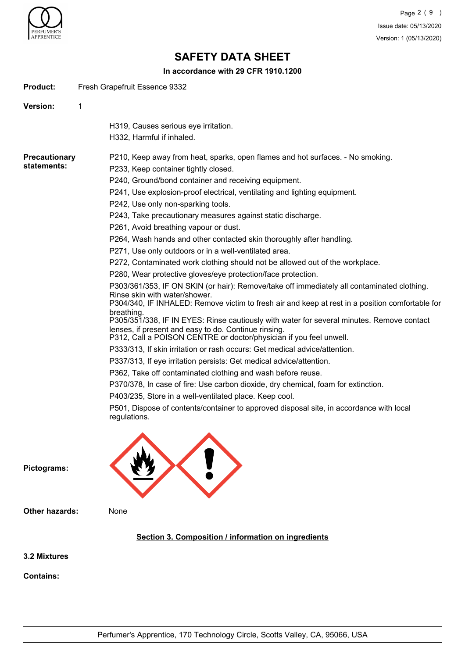

Product: Fresh Grapefruit Essence 9332

## **SAFETY DATA SHEET**

**In accordance with 29 CFR 1910.1200**

| Version:<br>1         |                                                                                                                                                                                                                                |
|-----------------------|--------------------------------------------------------------------------------------------------------------------------------------------------------------------------------------------------------------------------------|
|                       | H319, Causes serious eye irritation.                                                                                                                                                                                           |
|                       | H332, Harmful if inhaled.                                                                                                                                                                                                      |
|                       |                                                                                                                                                                                                                                |
| <b>Precautionary</b>  | P210, Keep away from heat, sparks, open flames and hot surfaces. - No smoking.                                                                                                                                                 |
| statements:           | P233, Keep container tightly closed.                                                                                                                                                                                           |
|                       | P240, Ground/bond container and receiving equipment.                                                                                                                                                                           |
|                       | P241, Use explosion-proof electrical, ventilating and lighting equipment.                                                                                                                                                      |
|                       | P242, Use only non-sparking tools.                                                                                                                                                                                             |
|                       | P243, Take precautionary measures against static discharge.                                                                                                                                                                    |
|                       | P261, Avoid breathing vapour or dust.                                                                                                                                                                                          |
|                       | P264, Wash hands and other contacted skin thoroughly after handling.                                                                                                                                                           |
|                       | P271, Use only outdoors or in a well-ventilated area.                                                                                                                                                                          |
|                       | P272, Contaminated work clothing should not be allowed out of the workplace.                                                                                                                                                   |
|                       | P280, Wear protective gloves/eye protection/face protection.                                                                                                                                                                   |
|                       | P303/361/353, IF ON SKIN (or hair): Remove/take off immediately all contaminated clothing.<br>Rinse skin with water/shower.<br>P304/340, IF INHALED: Remove victim to fresh air and keep at rest in a position comfortable for |
|                       | breathing.<br>P305/351/338, IF IN EYES: Rinse cautiously with water for several minutes. Remove contact                                                                                                                        |
|                       | lenses, if present and easy to do. Continue rinsing.<br>P312, Call a POISON CENTRE or doctor/physician if you feel unwell.                                                                                                     |
|                       | P333/313, If skin irritation or rash occurs: Get medical advice/attention.                                                                                                                                                     |
|                       | P337/313, If eye irritation persists: Get medical advice/attention.                                                                                                                                                            |
|                       | P362, Take off contaminated clothing and wash before reuse.                                                                                                                                                                    |
|                       | P370/378, In case of fire: Use carbon dioxide, dry chemical, foam for extinction.                                                                                                                                              |
|                       | P403/235, Store in a well-ventilated place. Keep cool.                                                                                                                                                                         |
|                       | P501, Dispose of contents/container to approved disposal site, in accordance with local<br>regulations.                                                                                                                        |
|                       |                                                                                                                                                                                                                                |
| Pictograms:           |                                                                                                                                                                                                                                |
| <b>Other hazards:</b> | None                                                                                                                                                                                                                           |
|                       | Section 3. Composition / information on ingredients                                                                                                                                                                            |
| 3.2 Mixtures          |                                                                                                                                                                                                                                |
| <b>Contains:</b>      |                                                                                                                                                                                                                                |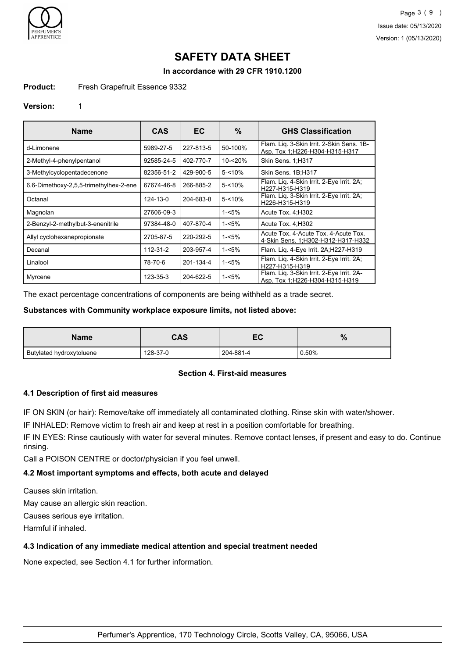

**In accordance with 29 CFR 1910.1200**

## **Product:** Fresh Grapefruit Essence 9332

#### **Version:** 1

| <b>Name</b>                            | <b>CAS</b> | EC.       | %         | <b>GHS Classification</b>                                                    |
|----------------------------------------|------------|-----------|-----------|------------------------------------------------------------------------------|
| d-Limonene                             | 5989-27-5  | 227-813-5 | 50-100%   | Flam. Lig. 3-Skin Irrit. 2-Skin Sens. 1B-<br>Asp. Tox 1; H226-H304-H315-H317 |
| 2-Methyl-4-phenylpentanol              | 92585-24-5 | 402-770-7 | 10-<20%   | Skin Sens. 1;H317                                                            |
| 3-Methylcyclopentadecenone             | 82356-51-2 | 429-900-5 | $5 - 10%$ | Skin Sens. 1B;H317                                                           |
| 6.6-Dimethoxy-2.5.5-trimethylhex-2-ene | 67674-46-8 | 266-885-2 | $5 - 10%$ | Flam. Lig. 4-Skin Irrit. 2-Eye Irrit. 2A;<br>H227-H315-H319                  |
| Octanal                                | 124-13-0   | 204-683-8 | $5 - 10%$ | Flam. Liq. 3-Skin Irrit. 2-Eye Irrit. 2A;<br>H226-H315-H319                  |
| Magnolan                               | 27606-09-3 |           | $1 - 5%$  | Acute Tox. 4; H302                                                           |
| 2-Benzyl-2-methylbut-3-enenitrile      | 97384-48-0 | 407-870-4 | $1 - 5%$  | Acute Tox. 4; H302                                                           |
| Allyl cyclohexanepropionate            | 2705-87-5  | 220-292-5 | $1 - 5%$  | Acute Tox, 4-Acute Tox, 4-Acute Tox,<br>4-Skin Sens. 1; H302-H312-H317-H332  |
| Decanal                                | 112-31-2   | 203-957-4 | $1 - 5%$  | Flam. Liq. 4-Eye Irrit. 2A;H227-H319                                         |
| Linalool                               | 78-70-6    | 201-134-4 | $1 - 5%$  | Flam. Lig. 4-Skin Irrit. 2-Eye Irrit. 2A;<br>H227-H315-H319                  |
| Myrcene                                | 123-35-3   | 204-622-5 | $1 - 5%$  | Flam. Liq. 3-Skin Irrit. 2-Eye Irrit. 2A-<br>Asp. Tox 1;H226-H304-H315-H319  |

The exact percentage concentrations of components are being withheld as a trade secret.

## **Substances with Community workplace exposure limits, not listed above:**

| <b>Name</b>              | CAS      | ∽         | $\mathbf{0}$<br>70 |
|--------------------------|----------|-----------|--------------------|
| Butylated hydroxytoluene | 128-37-0 | 204-881-4 | 0.50%              |

## **Section 4. First-aid measures**

## **4.1 Description of first aid measures**

IF ON SKIN (or hair): Remove/take off immediately all contaminated clothing. Rinse skin with water/shower.

IF INHALED: Remove victim to fresh air and keep at rest in a position comfortable for breathing.

IF IN EYES: Rinse cautiously with water for several minutes. Remove contact lenses, if present and easy to do. Continue rinsing.

Call a POISON CENTRE or doctor/physician if you feel unwell.

## **4.2 Most important symptoms and effects, both acute and delayed**

Causes skin irritation.

May cause an allergic skin reaction.

Causes serious eye irritation.

Harmful if inhaled.

## **4.3 Indication of any immediate medical attention and special treatment needed**

None expected, see Section 4.1 for further information.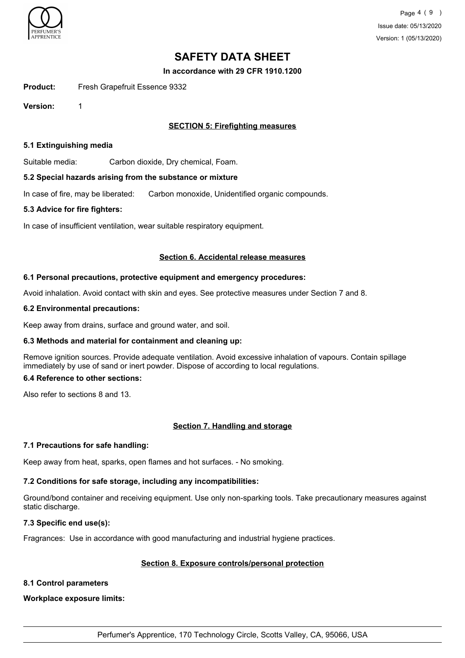

**In accordance with 29 CFR 1910.1200**

**Product:** Fresh Grapefruit Essence 9332

**Version:** 1

## **SECTION 5: Firefighting measures**

## **5.1 Extinguishing media**

Suitable media: Carbon dioxide, Dry chemical, Foam.

## **5.2 Special hazards arising from the substance or mixture**

In case of fire, may be liberated: Carbon monoxide, Unidentified organic compounds.

## **5.3 Advice for fire fighters:**

In case of insufficient ventilation, wear suitable respiratory equipment.

## **Section 6. Accidental release measures**

## **6.1 Personal precautions, protective equipment and emergency procedures:**

Avoid inhalation. Avoid contact with skin and eyes. See protective measures under Section 7 and 8.

## **6.2 Environmental precautions:**

Keep away from drains, surface and ground water, and soil.

## **6.3 Methods and material for containment and cleaning up:**

Remove ignition sources. Provide adequate ventilation. Avoid excessive inhalation of vapours. Contain spillage immediately by use of sand or inert powder. Dispose of according to local regulations.

## **6.4 Reference to other sections:**

Also refer to sections 8 and 13.

## **Section 7. Handling and storage**

## **7.1 Precautions for safe handling:**

Keep away from heat, sparks, open flames and hot surfaces. - No smoking.

## **7.2 Conditions for safe storage, including any incompatibilities:**

Ground/bond container and receiving equipment. Use only non-sparking tools. Take precautionary measures against static discharge.

## **7.3 Specific end use(s):**

Fragrances: Use in accordance with good manufacturing and industrial hygiene practices.

## **Section 8. Exposure controls/personal protection**

## **8.1 Control parameters**

**Workplace exposure limits:**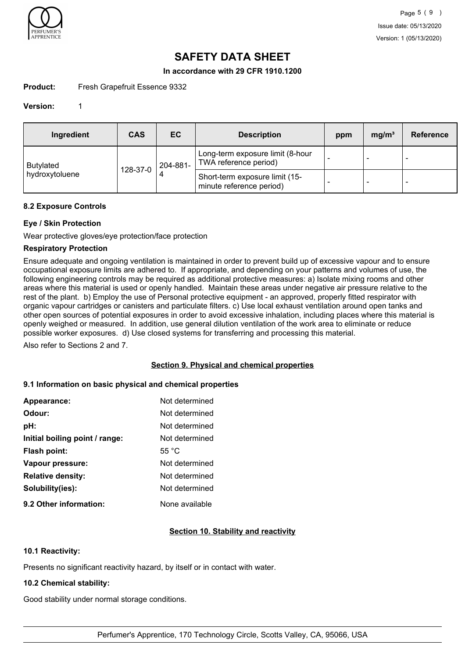

## **In accordance with 29 CFR 1910.1200**

## **Product:** Fresh Grapefruit Essence 9332

#### **Version:** 1

| Ingredient       | <b>CAS</b> | EC       | <b>Description</b>                                         | ppm                      | mg/m <sup>3</sup> | Reference |
|------------------|------------|----------|------------------------------------------------------------|--------------------------|-------------------|-----------|
| <b>Butylated</b> | 128-37-0   | 204-881- | Long-term exposure limit (8-hour<br>TWA reference period)  | $\overline{\phantom{a}}$ | $\sim$            |           |
| hydroxytoluene   |            |          | Short-term exposure limit (15-<br>minute reference period) |                          | -                 |           |

#### **8.2 Exposure Controls**

## **Eye / Skin Protection**

Wear protective gloves/eye protection/face protection

## **Respiratory Protection**

Ensure adequate and ongoing ventilation is maintained in order to prevent build up of excessive vapour and to ensure occupational exposure limits are adhered to. If appropriate, and depending on your patterns and volumes of use, the following engineering controls may be required as additional protective measures: a) Isolate mixing rooms and other areas where this material is used or openly handled. Maintain these areas under negative air pressure relative to the rest of the plant. b) Employ the use of Personal protective equipment - an approved, properly fitted respirator with organic vapour cartridges or canisters and particulate filters. c) Use local exhaust ventilation around open tanks and other open sources of potential exposures in order to avoid excessive inhalation, including places where this material is openly weighed or measured. In addition, use general dilution ventilation of the work area to eliminate or reduce possible worker exposures. d) Use closed systems for transferring and processing this material.

Also refer to Sections 2 and 7.

## **Section 9. Physical and chemical properties**

#### **9.1 Information on basic physical and chemical properties**

| Appearance:                    | Not determined  |
|--------------------------------|-----------------|
| Odour:                         | Not determined  |
| pH:                            | Not determined  |
| Initial boiling point / range: | Not determined  |
| <b>Flash point:</b>            | 55 $^{\circ}$ C |
| Vapour pressure:               | Not determined  |
| <b>Relative density:</b>       | Not determined  |
| Solubility(ies):               | Not determined  |
| 9.2 Other information:         | None available  |

## **Section 10. Stability and reactivity**

## **10.1 Reactivity:**

Presents no significant reactivity hazard, by itself or in contact with water.

#### **10.2 Chemical stability:**

Good stability under normal storage conditions.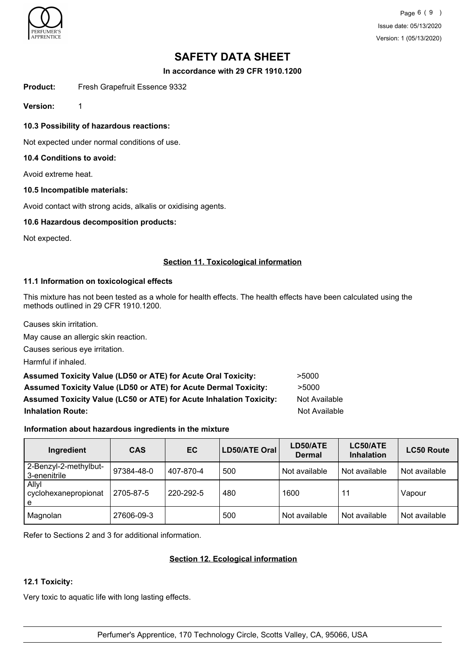

Page 6 ( 9 ) Issue date: 05/13/2020 Version: 1 (05/13/2020)

## **SAFETY DATA SHEET**

**In accordance with 29 CFR 1910.1200**

**Product:** Fresh Grapefruit Essence 9332

**Version:** 1

**10.3 Possibility of hazardous reactions:**

Not expected under normal conditions of use.

## **10.4 Conditions to avoid:**

Avoid extreme heat.

## **10.5 Incompatible materials:**

Avoid contact with strong acids, alkalis or oxidising agents.

## **10.6 Hazardous decomposition products:**

Not expected.

## **Section 11. Toxicological information**

## **11.1 Information on toxicological effects**

This mixture has not been tested as a whole for health effects. The health effects have been calculated using the methods outlined in 29 CFR 1910.1200.

Causes skin irritation.

May cause an allergic skin reaction.

Causes serious eye irritation.

Harmful if inhaled.

Assumed Toxicity Value (LD50 or ATE) for Acute Oral Toxicity: **>5000 Assumed Toxicity Value (LD50 or ATE) for Acute Dermal Toxicity:** >5000 Assumed Toxicity Value (LC50 or ATE) for Acute Inhalation Toxicity: Not Available **Inhalation Route:** Not Available

## **Information about hazardous ingredients in the mixture**

| Ingredient                            | <b>CAS</b> | EC        | LD50/ATE Oral | LD50/ATE<br><b>Dermal</b> | LC50/ATE<br><b>Inhalation</b> | <b>LC50 Route</b> |
|---------------------------------------|------------|-----------|---------------|---------------------------|-------------------------------|-------------------|
| 2-Benzyl-2-methylbut-<br>3-enenitrile | 97384-48-0 | 407-870-4 | 500           | Not available             | Not available                 | Not available     |
| Allyl<br>cyclohexanepropionat<br>l e  | 2705-87-5  | 220-292-5 | 480           | 1600                      | 11                            | Vapour            |
| Magnolan                              | 27606-09-3 |           | 500           | Not available             | Not available                 | Not available     |

Refer to Sections 2 and 3 for additional information.

## **Section 12. Ecological information**

## **12.1 Toxicity:**

Very toxic to aquatic life with long lasting effects.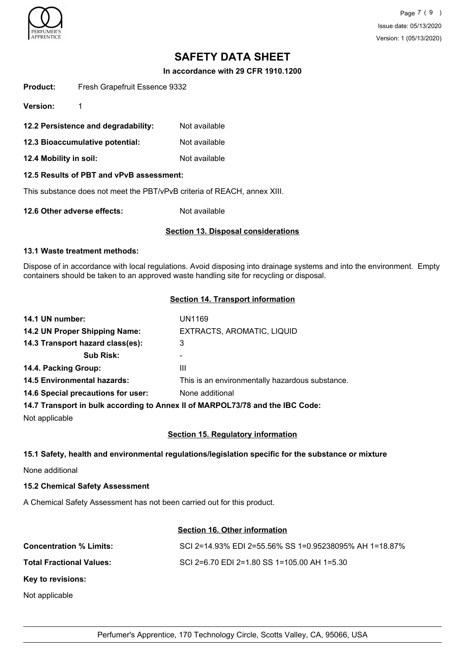

**In accordance with 29 CFR 1910.1200**

|                 | $\overline{40.0}$ Diagrams define releated. | الملحلة المحافظ والمحالة |
|-----------------|---------------------------------------------|--------------------------|
|                 | 12.2 Persistence and degradability:         | Not available            |
| Version:        |                                             |                          |
| <b>Product:</b> | Fresh Grapefruit Essence 9332               |                          |

- **12.3 Bioaccumulative potential:** Not available
- **12.4 Mobility in soil:** Not available

## **12.5 Results of PBT and vPvB assessment:**

This substance does not meet the PBT/vPvB criteria of REACH, annex XIII.

**12.6 Other adverse effects:** Not available

## **Section 13. Disposal considerations**

## **13.1 Waste treatment methods:**

Dispose of in accordance with local regulations. Avoid disposing into drainage systems and into the environment. Empty containers should be taken to an approved waste handling site for recycling or disposal.

## **Section 14. Transport information**

| 14.1 UN number:                                                               | UN1169                                          |
|-------------------------------------------------------------------------------|-------------------------------------------------|
| 14.2 UN Proper Shipping Name:                                                 | EXTRACTS, AROMATIC, LIQUID                      |
| 14.3 Transport hazard class(es):                                              | 3                                               |
| <b>Sub Risk:</b>                                                              | ۰                                               |
| 14.4. Packing Group:                                                          | Ш                                               |
| <b>14.5 Environmental hazards:</b>                                            | This is an environmentally hazardous substance. |
| 14.6 Special precautions for user:                                            | None additional                                 |
| 14.7 Transport in bulk according to Annex II of MARPOL73/78 and the IBC Code: |                                                 |

Not applicable

## **Section 15. Regulatory information**

## **15.1 Safety, health and environmental regulations/legislation specific for the substance or mixture**

None additional

**15.2 Chemical Safety Assessment**

A Chemical Safety Assessment has not been carried out for this product.

## **Section 16. Other information**

| SCI 2=14.93% EDI 2=55.56% SS 1=0.95238095% AH 1=18.87% |
|--------------------------------------------------------|
| SCI 2=6.70 EDI 2=1.80 SS 1=105.00 AH 1=5.30            |
|                                                        |
|                                                        |
|                                                        |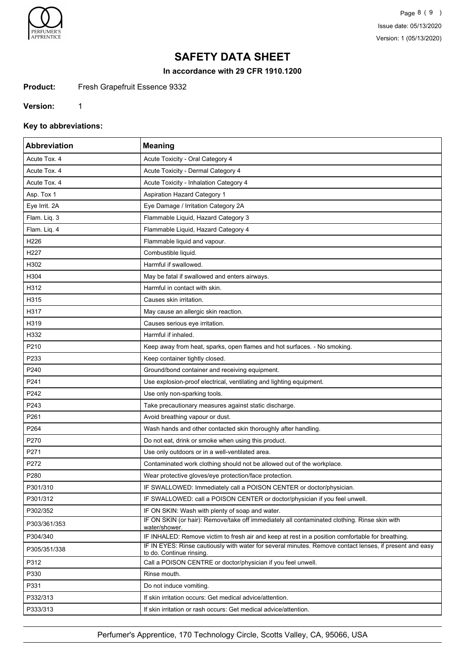

Page 8 ( 9 ) Issue date: 05/13/2020 Version: 1 (05/13/2020)

## **SAFETY DATA SHEET**

**In accordance with 29 CFR 1910.1200**

Product: Fresh Grapefruit Essence 9332

**Version:** 1

**Key to abbreviations:**

| <b>Abbreviation</b> | <b>Meaning</b>                                                                                                                      |
|---------------------|-------------------------------------------------------------------------------------------------------------------------------------|
| Acute Tox. 4        | Acute Toxicity - Oral Category 4                                                                                                    |
| Acute Tox. 4        | Acute Toxicity - Dermal Category 4                                                                                                  |
| Acute Tox. 4        | Acute Toxicity - Inhalation Category 4                                                                                              |
| Asp. Tox 1          | <b>Aspiration Hazard Category 1</b>                                                                                                 |
| Eye Irrit. 2A       | Eye Damage / Irritation Category 2A                                                                                                 |
| Flam. Liq. 3        | Flammable Liquid, Hazard Category 3                                                                                                 |
| Flam. Liq. 4        | Flammable Liquid, Hazard Category 4                                                                                                 |
| H226                | Flammable liquid and vapour.                                                                                                        |
| H227                | Combustible liquid.                                                                                                                 |
| H302                | Harmful if swallowed.                                                                                                               |
| H304                | May be fatal if swallowed and enters airways.                                                                                       |
| H312                | Harmful in contact with skin.                                                                                                       |
| H315                | Causes skin irritation.                                                                                                             |
| H317                | May cause an allergic skin reaction.                                                                                                |
| H319                | Causes serious eye irritation.                                                                                                      |
| H332                | Harmful if inhaled.                                                                                                                 |
| P210                | Keep away from heat, sparks, open flames and hot surfaces. - No smoking.                                                            |
| P233                | Keep container tightly closed.                                                                                                      |
| P240                | Ground/bond container and receiving equipment.                                                                                      |
| P241                | Use explosion-proof electrical, ventilating and lighting equipment.                                                                 |
| P242                | Use only non-sparking tools.                                                                                                        |
| P243                | Take precautionary measures against static discharge.                                                                               |
| P261                | Avoid breathing vapour or dust.                                                                                                     |
| P264                | Wash hands and other contacted skin thoroughly after handling.                                                                      |
| P270                | Do not eat, drink or smoke when using this product.                                                                                 |
| P271                | Use only outdoors or in a well-ventilated area.                                                                                     |
| P272                | Contaminated work clothing should not be allowed out of the workplace.                                                              |
| P280                | Wear protective gloves/eye protection/face protection.                                                                              |
| P301/310            | IF SWALLOWED: Immediately call a POISON CENTER or doctor/physician.                                                                 |
| P301/312            | IF SWALLOWED: call a POISON CENTER or doctor/physician if you feel unwell.                                                          |
| P302/352            | IF ON SKIN: Wash with plenty of soap and water.                                                                                     |
| P303/361/353        | IF ON SKIN (or hair): Remove/take off immediately all contaminated clothing. Rinse skin with<br>water/shower.                       |
| P304/340            | IF INHALED: Remove victim to fresh air and keep at rest in a position comfortable for breathing.                                    |
| P305/351/338        | IF IN EYES: Rinse cautiously with water for several minutes. Remove contact lenses, if present and easy<br>to do. Continue rinsing. |
| P312                | Call a POISON CENTRE or doctor/physician if you feel unwell.                                                                        |
| P330                | Rinse mouth.                                                                                                                        |
| P331                | Do not induce vomiting.                                                                                                             |
| P332/313            | If skin irritation occurs: Get medical advice/attention.                                                                            |
| P333/313            | If skin irritation or rash occurs: Get medical advice/attention.                                                                    |